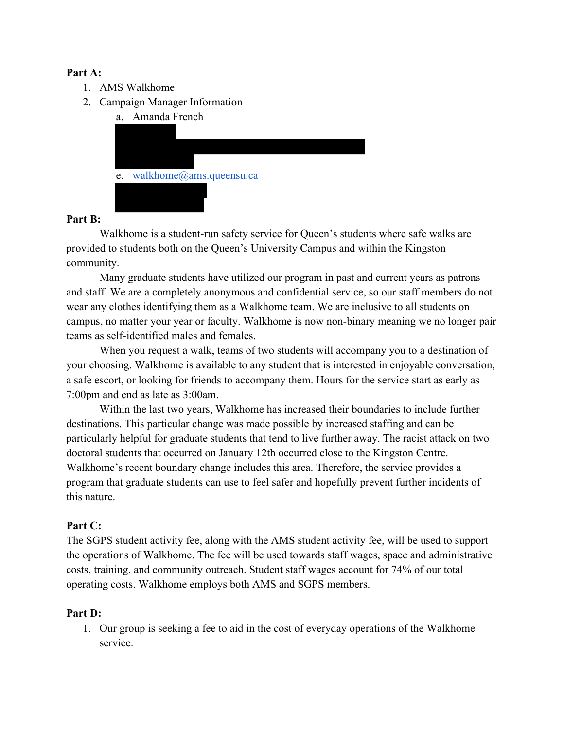### **Part A:**

- 1. AMS Walkhome
- 2. Campaign Manager Information
	- a. Amanda French



# **Part B:**

Walkhome is a student-run safety service for Queen's students where safe walks are provided to students both on the Queen's University Campus and within the Kingston community.

Many graduate students have utilized our program in past and current years as patrons and staff. We are a completely anonymous and confidential service, so our staff members do not wear any clothes identifying them as a Walkhome team. We are inclusive to all students on campus, no matter your year or faculty. Walkhome is now non-binary meaning we no longer pair teams as self-identified males and females.

When you request a walk, teams of two students will accompany you to a destination of your choosing. Walkhome is available to any student that is interested in enjoyable conversation, a safe escort, or looking for friends to accompany them. Hours for the service start as early as 7:00pm and end as late as 3:00am.

Within the last two years, Walkhome has increased their boundaries to include further destinations. This particular change was made possible by increased staffing and can be particularly helpful for graduate students that tend to live further away. The racist attack on two doctoral students that occurred on January 12th occurred close to the Kingston Centre. Walkhome's recent boundary change includes this area. Therefore, the service provides a program that graduate students can use to feel safer and hopefully prevent further incidents of this nature.

# **Part C:**

The SGPS student activity fee, along with the AMS student activity fee, will be used to support the operations of Walkhome. The fee will be used towards staff wages, space and administrative costs, training, and community outreach. Student staff wages account for 74% of our total operating costs. Walkhome employs both AMS and SGPS members.

# **Part D:**

1. Our group is seeking a fee to aid in the cost of everyday operations of the Walkhome service.